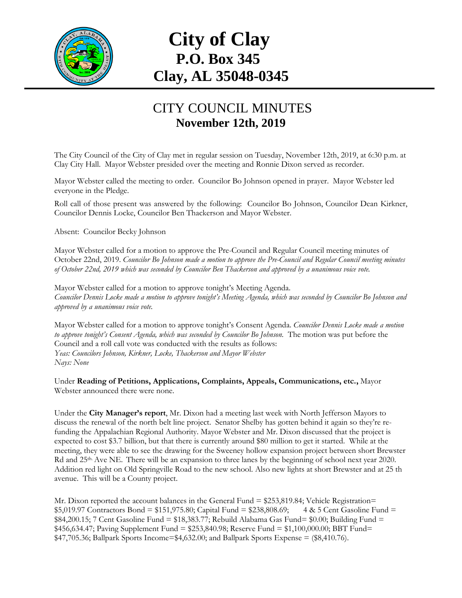

## **City of Clay P.O. Box 345 Clay, AL 35048-0345**

## CITY COUNCIL MINUTES **November 12th, 2019**

The City Council of the City of Clay met in regular session on Tuesday, November 12th, 2019, at 6:30 p.m. at Clay City Hall. Mayor Webster presided over the meeting and Ronnie Dixon served as recorder.

Mayor Webster called the meeting to order. Councilor Bo Johnson opened in prayer. Mayor Webster led everyone in the Pledge.

Roll call of those present was answered by the following: Councilor Bo Johnson, Councilor Dean Kirkner, Councilor Dennis Locke, Councilor Ben Thackerson and Mayor Webster.

Absent: Councilor Becky Johnson

Mayor Webster called for a motion to approve the Pre-Council and Regular Council meeting minutes of October 22nd, 2019. *Councilor Bo Johnson made a motion to approve the Pre-Council and Regular Council meeting minutes of October 22nd, 2019 which was seconded by Councilor Ben Thackerson and approved by a unanimous voice vote.*

Mayor Webster called for a motion to approve tonight's Meeting Agenda. *Councilor Dennis Locke made a motion to approve tonight's Meeting Agenda, which was seconded by Councilor Bo Johnson and approved by a unanimous voice vote.*

Mayor Webster called for a motion to approve tonight's Consent Agenda. *Councilor Dennis Locke made a motion to approve tonight's Consent Agenda, which was seconded by Councilor Bo Johnson.* The motion was put before the Council and a roll call vote was conducted with the results as follows: *Yeas: Councilors Johnson, Kirkner, Locke, Thackerson and Mayor Webster Nays: None*

Under **Reading of Petitions, Applications, Complaints, Appeals, Communications, etc.,** Mayor Webster announced there were none.

Under the **City Manager's report**, Mr. Dixon had a meeting last week with North Jefferson Mayors to discuss the renewal of the north belt line project. Senator Shelby has gotten behind it again so they're refunding the Appalachian Regional Authority. Mayor Webster and Mr. Dixon discussed that the project is expected to cost \$3.7 billion, but that there is currently around \$80 million to get it started. While at the meeting, they were able to see the drawing for the Sweeney hollow expansion project between short Brewster Rd and 25<sup>th</sup>. Ave NE. There will be an expansion to three lanes by the beginning of school next year 2020. Addition red light on Old Springville Road to the new school. Also new lights at short Brewster and at 25 th avenue. This will be a County project.

Mr. Dixon reported the account balances in the General Fund = \$253,819.84; Vehicle Registration= \$5,019.97 Contractors Bond = \$151,975.80; Capital Fund = \$238,808.69; 4 & 5 Cent Gasoline Fund = \$84,200.15; 7 Cent Gasoline Fund = \$18,383.77; Rebuild Alabama Gas Fund= \$0.00; Building Fund = \$456,634.47; Paving Supplement Fund = \$253,840.98; Reserve Fund = \$1,100,000.00; BBT Fund= \$47,705.36; Ballpark Sports Income=\$4,632.00; and Ballpark Sports Expense = (\$8,410.76).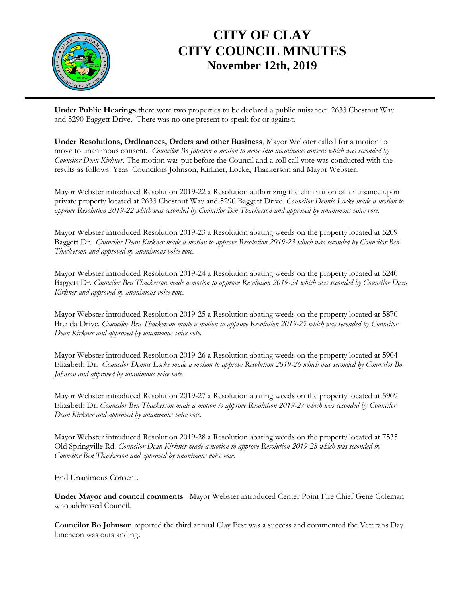

## **CITY OF CLAY CITY COUNCIL MINUTES November 12th, 2019**

**Under Public Hearings** there were two properties to be declared a public nuisance: 2633 Chestnut Way and 5290 Baggett Drive. There was no one present to speak for or against.

**Under Resolutions, Ordinances, Orders and other Business**, Mayor Webster called for a motion to move to unanimous consent. *Councilor Bo Johnson a motion to move into unanimous consent which was seconded by Councilor Dean Kirkner*. The motion was put before the Council and a roll call vote was conducted with the results as follows: Yeas: Councilors Johnson, Kirkner, Locke, Thackerson and Mayor Webster.

Mayor Webster introduced Resolution 2019-22 a Resolution authorizing the elimination of a nuisance upon private property located at 2633 Chestnut Way and 5290 Baggett Drive. *Councilor Dennis Locke made a motion to approve Resolution 2019-22 which was seconded by Councilor Ben Thackerson and approved by unanimous voice vote.*

Mayor Webster introduced Resolution 2019-23 a Resolution abating weeds on the property located at 5209 Baggett Dr. *Councilor Dean Kirkner made a motion to approve Resolution 2019-23 which was seconded by Councilor Ben Thackerson and approved by unanimous voice vote.*

Mayor Webster introduced Resolution 2019-24 a Resolution abating weeds on the property located at 5240 Baggett Dr. *Councilor Ben Thackerson made a motion to approve Resolution 2019-24 which was seconded by Councilor Dean Kirkner and approved by unanimous voice vote.*

Mayor Webster introduced Resolution 2019-25 a Resolution abating weeds on the property located at 5870 Brenda Drive. *Councilor Ben Thackerson made a motion to approve Resolution 2019-25 which was seconded by Councilor Dean Kirkner and approved by unanimous voice vote.*

Mayor Webster introduced Resolution 2019-26 a Resolution abating weeds on the property located at 5904 Elizabeth Dr. *Councilor Dennis Locke made a motion to approve Resolution 2019-26 which was seconded by Councilor Bo Johnson and approved by unanimous voice vote.*

Mayor Webster introduced Resolution 2019-27 a Resolution abating weeds on the property located at 5909 Elizabeth Dr. *Councilor Ben Thackerson made a motion to approve Resolution 2019-27 which was seconded by Councilor Dean Kirkner and approved by unanimous voice vote.*

Mayor Webster introduced Resolution 2019-28 a Resolution abating weeds on the property located at 7535 Old Springville Rd. *Councilor Dean Kirkner made a motion to approve Resolution 2019-28 which was seconded by Councilor Ben Thackerson and approved by unanimous voice vote.*

End Unanimous Consent.

**Under Mayor and council comments** Mayor Webster introduced Center Point Fire Chief Gene Coleman who addressed Council.

**Councilor Bo Johnson** reported the third annual Clay Fest was a success and commented the Veterans Day luncheon was outstanding**.**